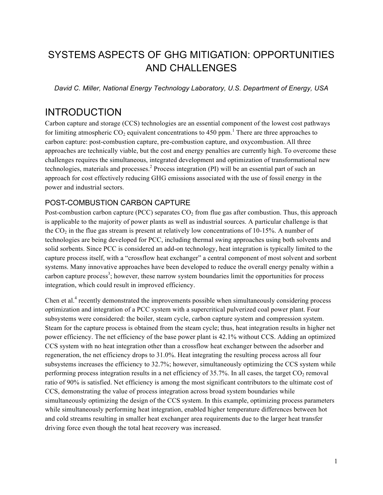# SYSTEMS ASPECTS OF GHG MITIGATION: OPPORTUNITIES AND CHALLENGES

*David C. Miller, National Energy Technology Laboratory, U.S. Department of Energy, USA*

### INTRODUCTION

Carbon capture and storage (CCS) technologies are an essential component of the lowest cost pathways for limiting atmospheric  $CO_2$  equivalent concentrations to 450 ppm.<sup>1</sup> There are three approaches to carbon capture: post-combustion capture, pre-combustion capture, and oxycombustion. All three approaches are technically viable, but the cost and energy penalties are currently high. To overcome these challenges requires the simultaneous, integrated development and optimization of transformational new technologies, materials and processes. <sup>2</sup> Process integration (PI) will be an essential part of such an approach for cost effectively reducing GHG emissions associated with the use of fossil energy in the power and industrial sectors.

#### POST-COMBUSTION CARBON CAPTURE

Post-combustion carbon capture (PCC) separates  $CO<sub>2</sub>$  from flue gas after combustion. Thus, this approach is applicable to the majority of power plants as well as industrial sources. A particular challenge is that the  $CO<sub>2</sub>$  in the flue gas stream is present at relatively low concentrations of 10-15%. A number of technologies are being developed for PCC, including thermal swing approaches using both solvents and solid sorbents. Since PCC is considered an add-on technology, heat integration is typically limited to the capture process itself, with a "crossflow heat exchanger" a central component of most solvent and sorbent systems. Many innovative approaches have been developed to reduce the overall energy penalty within a carbon capture process<sup>3</sup>; however, these narrow system boundaries limit the opportunities for process integration, which could result in improved efficiency.

Chen et al.<sup>4</sup> recently demonstrated the improvements possible when simultaneously considering process optimization and integration of a PCC system with a supercritical pulverized coal power plant. Four subsystems were considered: the boiler, steam cycle, carbon capture system and compression system. Steam for the capture process is obtained from the steam cycle; thus, heat integration results in higher net power efficiency. The net efficiency of the base power plant is 42.1% without CCS. Adding an optimized CCS system with no heat integration other than a crossflow heat exchanger between the adsorber and regeneration, the net efficiency drops to 31.0%. Heat integrating the resulting process across all four subsystems increases the efficiency to 32.7%; however, simultaneously optimizing the CCS system while performing process integration results in a net efficiency of  $35.7\%$ . In all cases, the target CO<sub>2</sub> removal ratio of 90% is satisfied. Net efficiency is among the most significant contributors to the ultimate cost of CCS, demonstrating the value of process integration across broad system boundaries while simultaneously optimizing the design of the CCS system. In this example, optimizing process parameters while simultaneously performing heat integration, enabled higher temperature differences between hot and cold streams resulting in smaller heat exchanger area requirements due to the larger heat transfer driving force even though the total heat recovery was increased.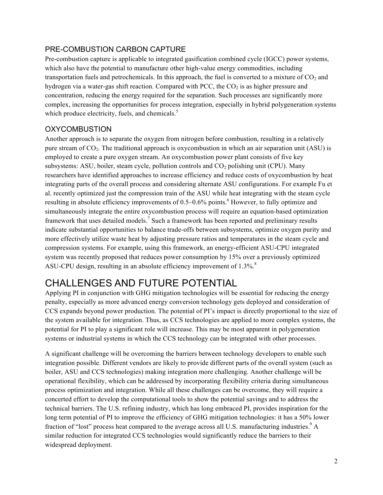#### PRE-COMBUSTION CARBON CAPTURE

Pre-combustion capture is applicable to integrated gasification combined cycle (IGCC) power systems, which also have the potential to manufacture other high-value energy commodities, including transportation fuels and petrochemicals. In this approach, the fuel is converted to a mixture of  $CO<sub>2</sub>$  and hydrogen via a water-gas shift reaction. Compared with PCC, the  $CO<sub>2</sub>$  is as higher pressure and concentration, reducing the energy required for the separation. Such processes are significantly more complex, increasing the opportunities for process integration, especially in hybrid polygeneration systems which produce electricity, fuels, and chemicals.<sup>5</sup>

#### **OXYCOMBUSTION**

Another approach is to separate the oxygen from nitrogen before combustion, resulting in a relatively pure stream of CO2. The traditional approach is oxycombustion in which an air separation unit (ASU) is employed to create a pure oxygen stream. An oxycombustion power plant consists of five key subsystems: ASU, boiler, steam cycle, pollution controls and  $CO<sub>2</sub>$  polishing unit (CPU). Many researchers have identified approaches to increase efficiency and reduce costs of oxycombustion by heat integrating parts of the overall process and considering alternate ASU configurations. For example Fu et al. recently optimized just the compression train of the ASU while heat integrating with the steam cycle resulting in absolute efficiency improvements of 0.5–0.6% points.<sup>6</sup> However, to fully optimize and simultaneously integrate the entire oxycombustion process will require an equation-based optimization framework that uses detailed models.<sup>7</sup> Such a framework has been reported and preliminary results indicate substantial opportunities to balance trade-offs between subsystems, optimize oxygen purity and more effectively utilize waste heat by adjusting pressure ratios and temperatures in the steam cycle and compression systems. For example, using this framework, an energy-efficient ASU-CPU integrated system was recently proposed that reduces power consumption by 15% over a previously optimized ASU-CPU design, resulting in an absolute efficiency improvement of 1.3%.<sup>8</sup>

## CHALLENGES AND FUTURE POTENTIAL

Applying PI in conjunction with GHG mitigation technologies will be essential for reducing the energy penalty, especially as more advanced energy conversion technology gets deployed and consideration of CCS expands beyond power production. The potential of PI's impact is directly proportional to the size of the system available for integration. Thus, as CCS technologies are applied to more complex systems, the potential for PI to play a significant role will increase. This may be most apparent in polygeneration systems or industrial systems in which the CCS technology can be integrated with other processes.

A significant challenge will be overcoming the barriers between technology developers to enable such integration possible. Different vendors are likely to provide different parts of the overall system (such as boiler, ASU and CCS technologies) making integration more challenging. Another challenge will be operational flexibility, which can be addressed by incorporating flexibility criteria during simultaneous process optimization and integration. While all these challenges can be overcome, they will require a concerted effort to develop the computational tools to show the potential savings and to address the technical barriers. The U.S. refining industry, which has long embraced PI, provides inspiration for the long term potential of PI to improve the efficiency of GHG mitigation technologies: it has a 50% lower fraction of "lost" process heat compared to the average across all U.S. manufacturing industries.<sup>9</sup> A similar reduction for integrated CCS technologies would significantly reduce the barriers to their widespread deployment.